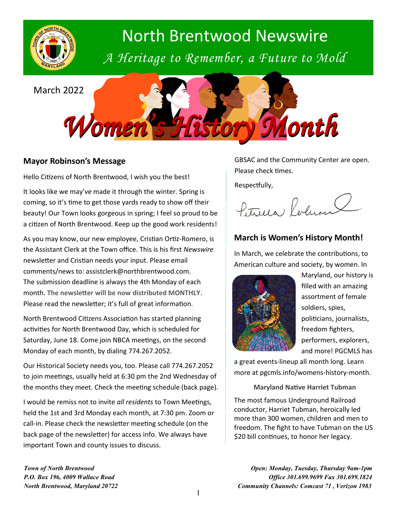

# North Brentwood Newswire

*A Heritage to Remember, a Future to Mold*

March 2022



# **Mayor Robinson's Message**

Hello Citizens of North Brentwood, I wish you the best!

It looks like we may've made it through the winter. Spring is coming, so it's time to get those yards ready to show off their beauty! Our Town looks gorgeous in spring; I feel so proud to be a citizen of North Brentwood. Keep up the good work residents!

As you may know, our new employee, Cristian Ortiz-Romero, is the Assistant Clerk at the Town office. This is his first *Newswire* newsletter and Cristian needs your input. Please email comments/news to: assistclerk@northbrentwood.com. The submission deadline is always the 4th Monday of each month. **The newsletter will be now distributed MONTHLY**. Please read the newsletter; it's full of great information.

North Brentwood Citizens Association has started planning activities for North Brentwood Day, which is scheduled for Saturday, June 18. Come join NBCA meetings, on the second Monday of each month, by dialing 774.267.2052.

Our Historical Society needs you, too. Please call 774.267.2052 to join meetings, usually held at 6:30 pm the 2nd Wednesday of the months they meet. Check the meeting schedule (back page).

I would be remiss not to invite *all residents* to Town Meetings, held the 1st and 3rd Monday each month, at 7:30 pm. Zoom or call-in. Please check the newsletter meeting schedule (on the back page of the newsletter) for access info. We always have important Town and county issues to discuss.

GBSAC and the Community Center are open. Please check times.

Respectfully,

Petricia Robin

# **March is Women's History Month!**

In March, we celebrate the contributions, to American culture and society, by women. In



Maryland, our history is filled with an amazing assortment of female soldiers, spies, politicians, journalists, freedom fighters, performers, explorers, and more! PGCMLS has

a great events-lineup all month long. Learn more at pgcmls.info/womens-history-month.

**Maryland Native Harriet Tubman**

The most famous Underground Railroad conductor, Harriet Tubman, heroically led more than 300 women, children and men to freedom. The fight to have Tubman on the US \$20 bill continues, to honor her legacy.

*Town of North Brentwood P.O. Box 196, 4009 Wallace Road North Brentwood, Maryland 20722*

*Open: Monday, Tuesday, Thursday 9am-1pm Office 301.699.9699 Fax 301.699.1824 Community Channels: Comcast 71 , Verizon 1983*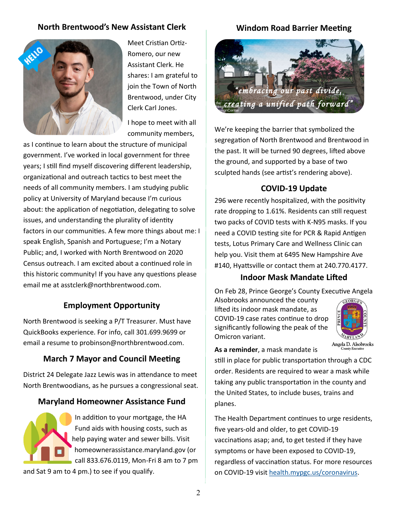# **North Brentwood's New Assistant Clerk**



Meet Cristian Ortiz-Romero, our new Assistant Clerk. He shares: I am grateful to join the Town of North Brentwood, under City Clerk Carl Jones.

I hope to meet with all community members,

as I continue to learn about the structure of municipal government. I've worked in local government for three years; I still find myself discovering different leadership, organizational and outreach tactics to best meet the needs of all community members. I am studying public policy at University of Maryland because I'm curious about: the application of negotiation, delegating to solve issues, and understanding the plurality of identity factors in our communities. A few more things about me: I speak English, Spanish and Portuguese; I'm a Notary Public; and, I worked with North Brentwood on 2020 Census outreach. I am excited about a continued role in this historic community! If you have any questions please email me at asstclerk@northbrentwood.com.

# **Employment Opportunity**

North Brentwood is seeking a P/T Treasurer. Must have QuickBooks experience. For info, call 301.699.9699 or email a resume to probinson@northbrentwood.com.

# **March 7 Mayor and Council Meeting**

District 24 Delegate Jazz Lewis was in attendance to meet North Brentwoodians, as he pursues a congressional seat.

# **Maryland Homeowner Assistance Fund**

In addition to your mortgage, the HA Fund aids with housing costs, such as help paying water and sewer bills. Visit homeownerassistance.maryland.gov (or call 833.676.0119, Mon-Fri 8 am to 7 pm

and Sat 9 am to 4 pm.) to see if you qualify.

# **Windom Road Barrier Meeting**



We're keeping the barrier that symbolized the segregation of North Brentwood and Brentwood in the past. It will be turned 90 degrees, lifted above the ground, and supported by a base of two sculpted hands (see artist's rendering above).

# **COVID-19 Update**

296 were recently hospitalized, with the positivity rate dropping to 1.61%. Residents can still request two packs of COVID tests with K-N95 masks. If you need a COVID testing site for PCR & Rapid Antigen tests, Lotus Primary Care and Wellness Clinic can help you. Visit them at 6495 New Hampshire Ave #140, Hyattsville or contact them at 240.770.4177.

#### **Indoor Mask Mandate Lifted**

On Feb 28, Prince George's County Executive Angela

Alsobrooks announced the county lifted its indoor mask mandate, as COVID-19 case rates continue to drop significantly following the peak of the Omicron variant.



**As a reminder**, a mask mandate is

still in place for public transportation through a CDC order. Residents are required to wear a mask while taking any public transportation in the county and the United States, to include buses, trains and planes.

The Health Department continues to urge residents, five years-old and older, to get COVID-19 vaccinations asap; and, to get tested if they have symptoms or have been exposed to COVID-19, regardless of vaccination status. For more resources on COVID-19 visit [health.mypgc.us/coronavirus.](health.mypgc.us/coronavirus)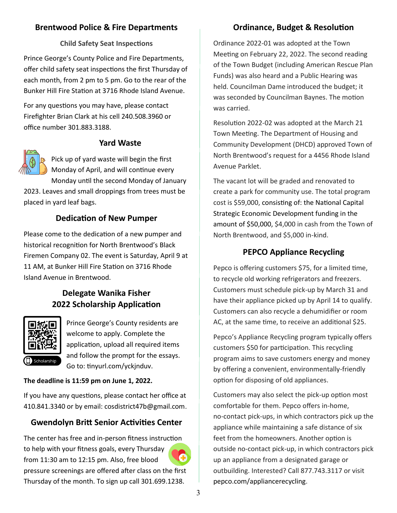# **Brentwood Police & Fire Departments**

#### **Child Safety Seat Inspections**

Prince George's County Police and Fire Departments, offer child safety seat inspections the first Thursday of each month, from 2 pm to 5 pm. Go to the rear of the Bunker Hill Fire Station at 3716 Rhode Island Avenue.

For any questions you may have, please contact Firefighter Brian Clark at his cell 240.508.3960 or office number 301.883.3188.

#### **Yard Waste**



Pick up of yard waste will begin the first Monday of April, and will continue every Monday until the second Monday of January

2023. Leaves and small droppings from trees must be placed in yard leaf bags.

# **Dedication of New Pumper**

Please come to the dedication of a new pumper and historical recognition for North Brentwood's Black Firemen Company 02. The event is Saturday, April 9 at 11 AM, at Bunker Hill Fire Station on 3716 Rhode Island Avenue in Brentwood.

# **Delegate Wanika Fisher 2022 Scholarship Application**



Prince George's County residents are welcome to apply. Complete the application, upload all required items and follow the prompt for the essays. Go to: tinyurl.com/yckjnduv.

#### **The deadline is 11:59 pm on June 1, 2022.**

If you have any questions, please contact her office at 410.841.3340 or by email: cosdistrict47b@gmail.com.

# **Gwendolyn Britt Senior Activities Center**

The center has free and in-person fitness instruction to help with your fitness goals, every Thursday from 11:30 am to 12:15 pm. Also, free blood pressure screenings are offered after class on the first Thursday of the month. To sign up call 301.699.1238.

# **Ordinance, Budget & Resolution**

Ordinance 2022-01 was adopted at the Town Meeting on February 22, 2022. The second reading of the Town Budget (including American Rescue Plan Funds) was also heard and a Public Hearing was held. Councilman Dame introduced the budget; it was seconded by Councilman Baynes. The motion was carried.

Resolution 2022-02 was adopted at the March 21 Town Meeting. The Department of Housing and Community Development (DHCD) approved Town of North Brentwood's request for a 4456 Rhode Island Avenue Parklet.

The vacant lot will be graded and renovated to create a park for community use. The total program cost is \$59,000, consisting of: the National Capital Strategic Economic Development funding in the amount of \$50,000, \$4,000 in cash from the Town of North Brentwood, and \$5,000 in-kind.

# **PEPCO Appliance Recycling**

Pepco is offering customers \$75, for a limited time, to recycle old working refrigerators and freezers. Customers must schedule pick-up by March 31 and have their appliance picked up by April 14 to qualify. Customers can also recycle a dehumidifier or room AC, at the same time, to receive an additional \$25.

Pepco's Appliance Recycling program typically offers customers \$50 for participation. This recycling program aims to save customers energy and money by offering a convenient, environmentally-friendly option for disposing of old appliances.

Customers may also select the pick-up option most comfortable for them. Pepco offers in-home, no-contact pick-ups, in which contractors pick up the appliance while maintaining a safe distance of six feet from the homeowners. Another option is outside no-contact pick-up, in which contractors pick up an appliance from a designated garage or outbuilding. Interested? Call 877.743.3117 or visit pepco.com/appliancerecycling.